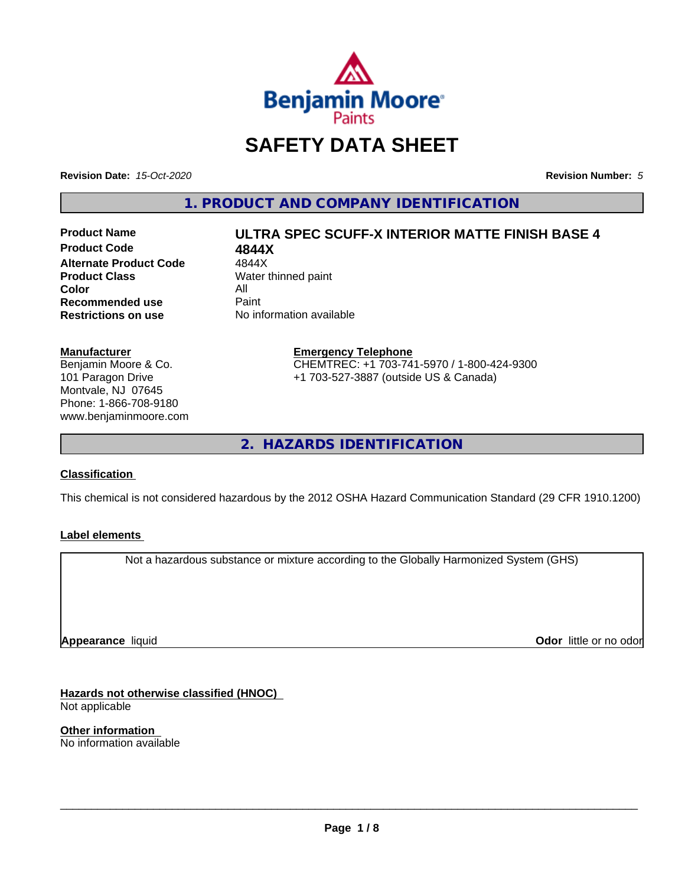

# **SAFETY DATA SHEET**

**Revision Date:** *15-Oct-2020* **Revision Number:** *5*

**1. PRODUCT AND COMPANY IDENTIFICATION**

**Product Code 4844X**<br>Alternate Product Code 4844X **Alternate Product Code**<br>Product Class **Color** All<br> **Recommended use** Paint **Recommended use**<br>Restrictions on use

# **Product Name ULTRA SPEC SCUFF-X INTERIOR MATTE FINISH BASE 4**

**Water thinned paint No information available** 

**Manufacturer** Benjamin Moore & Co. 101 Paragon Drive

Montvale, NJ 07645 Phone: 1-866-708-9180 www.benjaminmoore.com

### **Emergency Telephone** CHEMTREC: +1 703-741-5970 / 1-800-424-9300 +1 703-527-3887 (outside US & Canada)

**2. HAZARDS IDENTIFICATION**

### **Classification**

This chemical is not considered hazardous by the 2012 OSHA Hazard Communication Standard (29 CFR 1910.1200)

### **Label elements**

Not a hazardous substance or mixture according to the Globally Harmonized System (GHS)

**Appearance** liquid

**Odor** little or no odor

**Hazards not otherwise classified (HNOC)** Not applicable

**Other information** No information available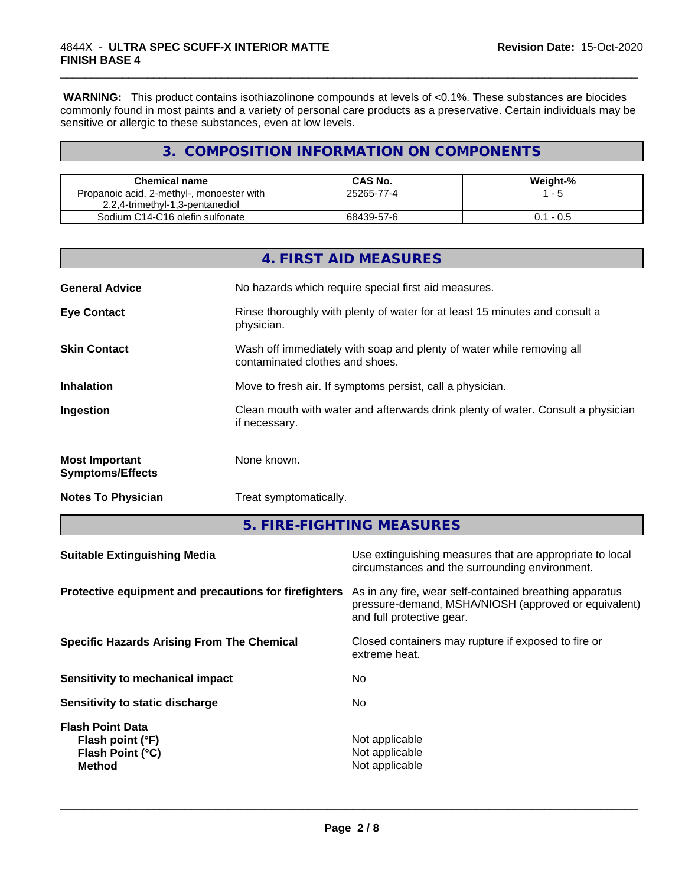**WARNING:** This product contains isothiazolinone compounds at levels of <0.1%. These substances are biocides commonly found in most paints and a variety of personal care products as a preservative. Certain individuals may be sensitive or allergic to these substances, even at low levels.

\_\_\_\_\_\_\_\_\_\_\_\_\_\_\_\_\_\_\_\_\_\_\_\_\_\_\_\_\_\_\_\_\_\_\_\_\_\_\_\_\_\_\_\_\_\_\_\_\_\_\_\_\_\_\_\_\_\_\_\_\_\_\_\_\_\_\_\_\_\_\_\_\_\_\_\_\_\_\_\_\_\_\_\_\_\_\_\_\_\_\_\_\_

## **3. COMPOSITION INFORMATION ON COMPONENTS**

| <b>Chemical name</b>                      | CAS No.    | Weight-%     |
|-------------------------------------------|------------|--------------|
| Propanoic acid, 2-methyl-, monoester with | 25265-77-4 | - 5          |
| 2,2,4-trimethyl-1,3-pentanediol           |            |              |
| Sodium C14-C16 olefin sulfonate           | 68439-57-6 | - 0.5<br>0.1 |

|                                                  | 4. FIRST AID MEASURES                                                                                    |
|--------------------------------------------------|----------------------------------------------------------------------------------------------------------|
| <b>General Advice</b>                            | No hazards which require special first aid measures.                                                     |
| <b>Eye Contact</b>                               | Rinse thoroughly with plenty of water for at least 15 minutes and consult a<br>physician.                |
| <b>Skin Contact</b>                              | Wash off immediately with soap and plenty of water while removing all<br>contaminated clothes and shoes. |
| <b>Inhalation</b>                                | Move to fresh air. If symptoms persist, call a physician.                                                |
| Ingestion                                        | Clean mouth with water and afterwards drink plenty of water. Consult a physician<br>if necessary.        |
| <b>Most Important</b><br><b>Symptoms/Effects</b> | None known.                                                                                              |
| <b>Notes To Physician</b>                        | Treat symptomatically.                                                                                   |
|                                                  |                                                                                                          |

**5. FIRE-FIGHTING MEASURES**

| <b>Suitable Extinguishing Media</b>                                              | Use extinguishing measures that are appropriate to local<br>circumstances and the surrounding environment.                                   |
|----------------------------------------------------------------------------------|----------------------------------------------------------------------------------------------------------------------------------------------|
| Protective equipment and precautions for firefighters                            | As in any fire, wear self-contained breathing apparatus<br>pressure-demand, MSHA/NIOSH (approved or equivalent)<br>and full protective gear. |
| <b>Specific Hazards Arising From The Chemical</b>                                | Closed containers may rupture if exposed to fire or<br>extreme heat.                                                                         |
| Sensitivity to mechanical impact                                                 | No.                                                                                                                                          |
| Sensitivity to static discharge                                                  | No.                                                                                                                                          |
| <b>Flash Point Data</b><br>Flash point (°F)<br>Flash Point (°C)<br><b>Method</b> | Not applicable<br>Not applicable<br>Not applicable                                                                                           |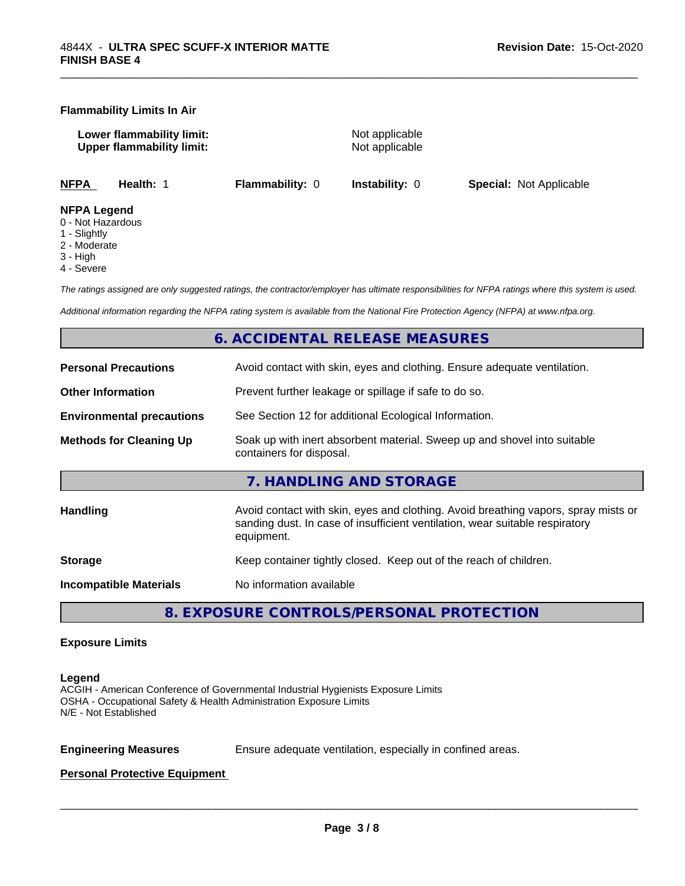### **Flammability Limits In Air**

**Lower flammability limit:** Not applicable **Upper flammability limit:** Not applicable

\_\_\_\_\_\_\_\_\_\_\_\_\_\_\_\_\_\_\_\_\_\_\_\_\_\_\_\_\_\_\_\_\_\_\_\_\_\_\_\_\_\_\_\_\_\_\_\_\_\_\_\_\_\_\_\_\_\_\_\_\_\_\_\_\_\_\_\_\_\_\_\_\_\_\_\_\_\_\_\_\_\_\_\_\_\_\_\_\_\_\_\_\_

**NFPA Health:** 1 **Flammability:** 0 **Instability:** 0 **Special:** Not Applicable

### **NFPA Legend**

- 0 Not Hazardous
- 1 Slightly
- 2 Moderate
- 3 High
- 4 Severe

*The ratings assigned are only suggested ratings, the contractor/employer has ultimate responsibilities for NFPA ratings where this system is used.*

*Additional information regarding the NFPA rating system is available from the National Fire Protection Agency (NFPA) at www.nfpa.org.*

### **6. ACCIDENTAL RELEASE MEASURES**

| <b>Personal Precautions</b>      | Avoid contact with skin, eyes and clothing. Ensure adequate ventilation.                                                                                                         |
|----------------------------------|----------------------------------------------------------------------------------------------------------------------------------------------------------------------------------|
| <b>Other Information</b>         | Prevent further leakage or spillage if safe to do so.                                                                                                                            |
| <b>Environmental precautions</b> | See Section 12 for additional Ecological Information.                                                                                                                            |
| <b>Methods for Cleaning Up</b>   | Soak up with inert absorbent material. Sweep up and shovel into suitable<br>containers for disposal.                                                                             |
|                                  | 7. HANDLING AND STORAGE                                                                                                                                                          |
| Handling                         | Avoid contact with skin, eyes and clothing. Avoid breathing vapors, spray mists or<br>sanding dust. In case of insufficient ventilation, wear suitable respiratory<br>equipment. |
| <b>Storage</b>                   | Keep container tightly closed. Keep out of the reach of children.                                                                                                                |
| <b>Incompatible Materials</b>    | No information available                                                                                                                                                         |
|                                  |                                                                                                                                                                                  |

**8. EXPOSURE CONTROLS/PERSONAL PROTECTION**

### **Exposure Limits**

### **Legend**

ACGIH - American Conference of Governmental Industrial Hygienists Exposure Limits OSHA - Occupational Safety & Health Administration Exposure Limits N/E - Not Established

**Engineering Measures** Ensure adequate ventilation, especially in confined areas.

 $\overline{\phantom{a}}$  ,  $\overline{\phantom{a}}$  ,  $\overline{\phantom{a}}$  ,  $\overline{\phantom{a}}$  ,  $\overline{\phantom{a}}$  ,  $\overline{\phantom{a}}$  ,  $\overline{\phantom{a}}$  ,  $\overline{\phantom{a}}$  ,  $\overline{\phantom{a}}$  ,  $\overline{\phantom{a}}$  ,  $\overline{\phantom{a}}$  ,  $\overline{\phantom{a}}$  ,  $\overline{\phantom{a}}$  ,  $\overline{\phantom{a}}$  ,  $\overline{\phantom{a}}$  ,  $\overline{\phantom{a}}$ 

### **Personal Protective Equipment**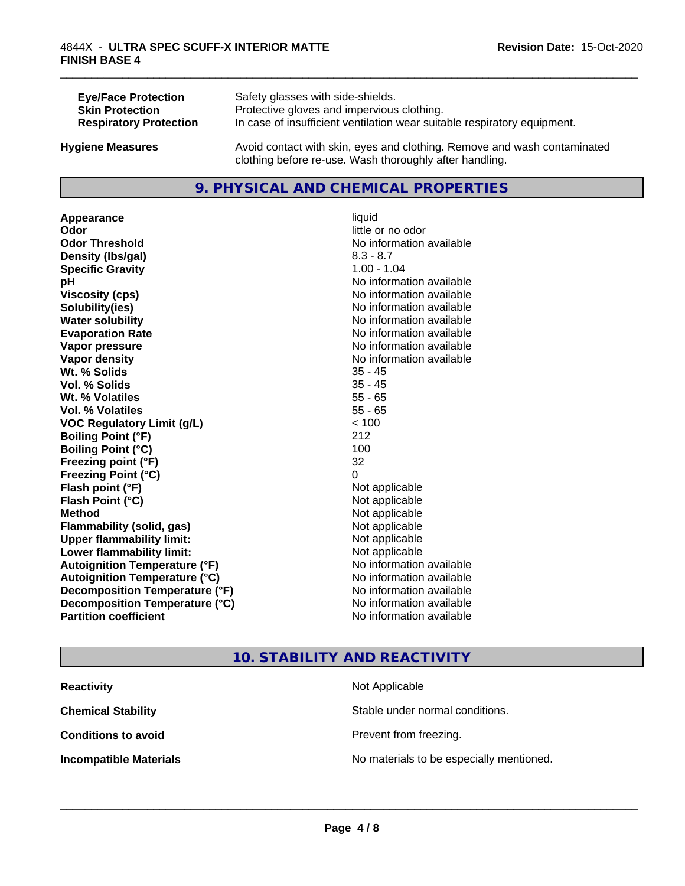| <b>Eye/Face Protection</b>    | Safety glasses with side-shields.                                                                                                   |
|-------------------------------|-------------------------------------------------------------------------------------------------------------------------------------|
| <b>Skin Protection</b>        | Protective gloves and impervious clothing.                                                                                          |
| <b>Respiratory Protection</b> | In case of insufficient ventilation wear suitable respiratory equipment.                                                            |
| <b>Hygiene Measures</b>       | Avoid contact with skin, eyes and clothing. Remove and wash contaminated<br>clothing before re-use. Wash thoroughly after handling. |

### **9. PHYSICAL AND CHEMICAL PROPERTIES**

**Appearance** liquid **Odor** little or no odor **Odor Threshold No information available No information available Density (lbs/gal)** 8.3 - 8.7 **Specific Gravity** 1.00 - 1.04 **pH** No information available **Viscosity (cps)** No information available **Solubility(ies)** No information available **Water solubility Water solubility Water solubility Water solubility Water solubility Water solution Evaporation Rate No information available No information available Vapor pressure** No information available **No information** available **Vapor density Vapor density No information available Wt. % Solids** 35 - 45 **Vol. % Solids Wt. % Volatiles** 55 - 65 **Vol. % Volatiles** 55 - 65 **VOC Regulatory Limit (g/L)** < 100 **Boiling Point (°F)** 212 **Boiling Point (°C)** 100 **Freezing point (°F)** 32 **Freezing Point (°C)** 0 **Flash point (°F)**<br> **Flash Point (°C)**<br> **Flash Point (°C)**<br> **Complicate State Additional Point (°C)**<br> **Not** applicable **Flash Point (°C) Method** Not applicable **Flammability (solid, gas)** Not applicable **Upper flammability limit:** Not applicable **Lower flammability limit:** Not applicable **Autoignition Temperature (°F)** No information available **Autoignition Temperature (°C)** No information available **Decomposition Temperature (°F)** No information available **Decomposition Temperature (°C)**<br> **Partition coefficient Partition coefficient 1 Partition available No information available** 

# **No information available**

\_\_\_\_\_\_\_\_\_\_\_\_\_\_\_\_\_\_\_\_\_\_\_\_\_\_\_\_\_\_\_\_\_\_\_\_\_\_\_\_\_\_\_\_\_\_\_\_\_\_\_\_\_\_\_\_\_\_\_\_\_\_\_\_\_\_\_\_\_\_\_\_\_\_\_\_\_\_\_\_\_\_\_\_\_\_\_\_\_\_\_\_\_

### **10. STABILITY AND REACTIVITY**

| <b>Reactivity</b><br>Not Applicable                                       |                                 |
|---------------------------------------------------------------------------|---------------------------------|
| <b>Chemical Stability</b>                                                 | Stable under normal conditions. |
| <b>Conditions to avoid</b>                                                | Prevent from freezing.          |
| No materials to be especially mentioned.<br><b>Incompatible Materials</b> |                                 |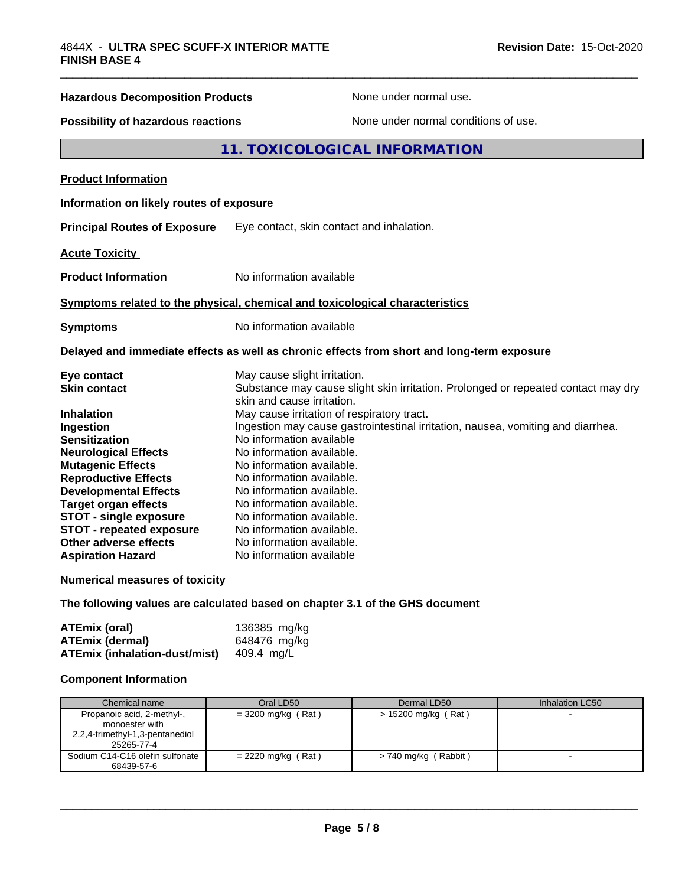# \_\_\_\_\_\_\_\_\_\_\_\_\_\_\_\_\_\_\_\_\_\_\_\_\_\_\_\_\_\_\_\_\_\_\_\_\_\_\_\_\_\_\_\_\_\_\_\_\_\_\_\_\_\_\_\_\_\_\_\_\_\_\_\_\_\_\_\_\_\_\_\_\_\_\_\_\_\_\_\_\_\_\_\_\_\_\_\_\_\_\_\_\_ **Hazardous Decomposition Products** None under normal use. **Possibility of hazardous reactions** None under normal conditions of use. **11. TOXICOLOGICAL INFORMATION Product Information Information on likely routes of exposure Principal Routes of Exposure** Eye contact, skin contact and inhalation. **Acute Toxicity Product Information** No information available **Symptoms related to the physical,chemical and toxicological characteristics Symptoms** No information available **Delayed and immediate effects as well as chronic effects from short and long-term exposure Eye contact** May cause slight irritation. skin and cause irritation.

| <b>Skin contact</b>             | Substance may cause slight skin irritation. Prolonged or repeated contact may dry |
|---------------------------------|-----------------------------------------------------------------------------------|
|                                 | skin and cause irritation.                                                        |
| Inhalation                      | May cause irritation of respiratory tract.                                        |
| Ingestion                       | Ingestion may cause gastrointestinal irritation, nausea, vomiting and diarrhea.   |
| <b>Sensitization</b>            | No information available                                                          |
| <b>Neurological Effects</b>     | No information available.                                                         |
| <b>Mutagenic Effects</b>        | No information available.                                                         |
| <b>Reproductive Effects</b>     | No information available.                                                         |
| <b>Developmental Effects</b>    | No information available.                                                         |
| Target organ effects            | No information available.                                                         |
| <b>STOT - single exposure</b>   | No information available.                                                         |
| <b>STOT - repeated exposure</b> | No information available.                                                         |
| Other adverse effects           | No information available.                                                         |
| <b>Aspiration Hazard</b>        | No information available                                                          |

### **Numerical measures of toxicity**

**The following values are calculated based on chapter 3.1 of the GHS document**

| ATEmix (oral)                        | 136385 mg/kg |
|--------------------------------------|--------------|
| <b>ATEmix (dermal)</b>               | 648476 mg/kg |
| <b>ATEmix (inhalation-dust/mist)</b> | 409.4 mg/L   |

### **Component Information**

| Chemical name                                 | Oral LD50            | Dermal LD50           | Inhalation LC50 |  |
|-----------------------------------------------|----------------------|-----------------------|-----------------|--|
| Propanoic acid, 2-methyl-,<br>monoester with  | $=$ 3200 mg/kg (Rat) | $> 15200$ mg/kg (Rat) |                 |  |
| 2,2,4-trimethyl-1,3-pentanediol               |                      |                       |                 |  |
| 25265-77-4                                    |                      |                       |                 |  |
| Sodium C14-C16 olefin sulfonate<br>68439-57-6 | $= 2220$ mg/kg (Rat) | > 740 mg/kg (Rabbit)  |                 |  |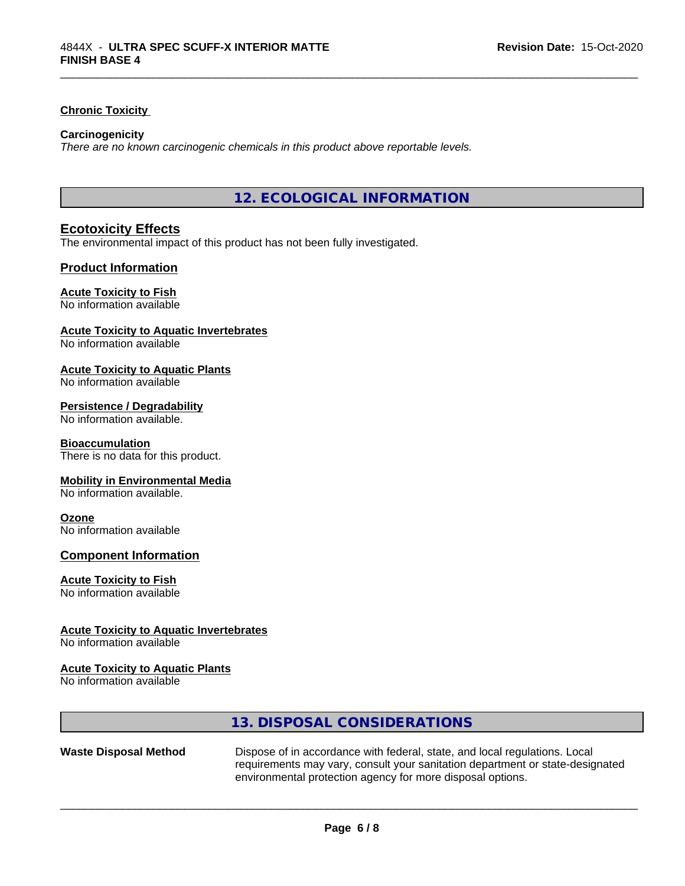### **Chronic Toxicity**

### **Carcinogenicity**

*There are no known carcinogenic chemicals in this product above reportable levels.*

**12. ECOLOGICAL INFORMATION**

\_\_\_\_\_\_\_\_\_\_\_\_\_\_\_\_\_\_\_\_\_\_\_\_\_\_\_\_\_\_\_\_\_\_\_\_\_\_\_\_\_\_\_\_\_\_\_\_\_\_\_\_\_\_\_\_\_\_\_\_\_\_\_\_\_\_\_\_\_\_\_\_\_\_\_\_\_\_\_\_\_\_\_\_\_\_\_\_\_\_\_\_\_

### **Ecotoxicity Effects**

The environmental impact of this product has not been fully investigated.

### **Product Information**

### **Acute Toxicity to Fish**

No information available

### **Acute Toxicity to Aquatic Invertebrates**

No information available

### **Acute Toxicity to Aquatic Plants**

No information available

### **Persistence / Degradability**

No information available.

### **Bioaccumulation**

There is no data for this product.

### **Mobility in Environmental Media**

No information available.

### **Ozone**

No information available

### **Component Information**

### **Acute Toxicity to Fish**

No information available

### **Acute Toxicity to Aquatic Invertebrates**

No information available

### **Acute Toxicity to Aquatic Plants**

No information available

|                              | 13. DISPOSAL CONSIDERATIONS                                                                                                                                                                                               |
|------------------------------|---------------------------------------------------------------------------------------------------------------------------------------------------------------------------------------------------------------------------|
| <b>Waste Disposal Method</b> | Dispose of in accordance with federal, state, and local regulations. Local<br>requirements may vary, consult your sanitation department or state-designated<br>environmental protection agency for more disposal options. |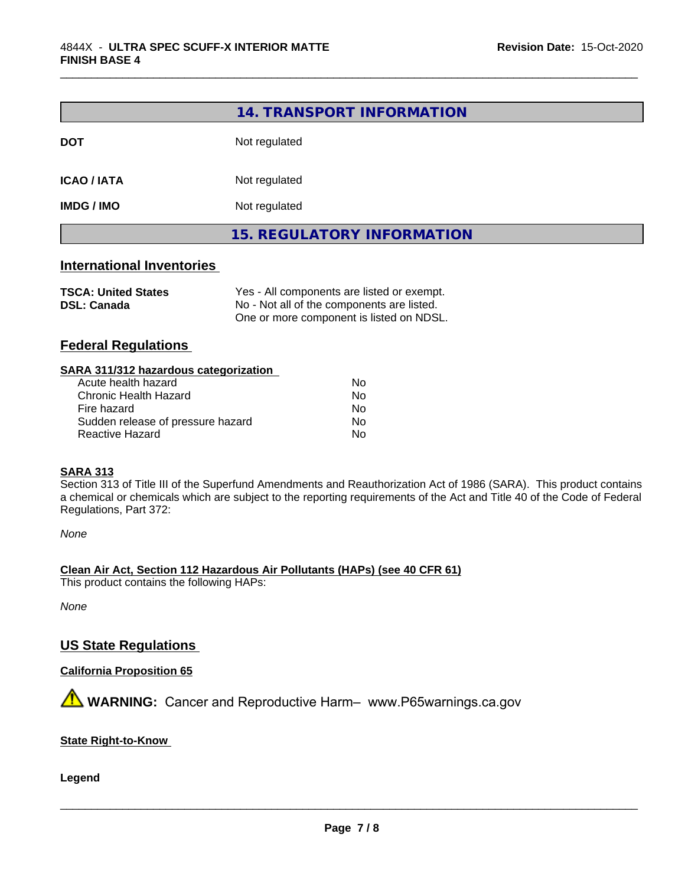|                   | 14. TRANSPORT INFORMATION         |
|-------------------|-----------------------------------|
| <b>DOT</b>        | Not regulated                     |
| <b>ICAO/IATA</b>  | Not regulated                     |
| <b>IMDG / IMO</b> | Not regulated                     |
|                   | <b>15. REGULATORY INFORMATION</b> |

\_\_\_\_\_\_\_\_\_\_\_\_\_\_\_\_\_\_\_\_\_\_\_\_\_\_\_\_\_\_\_\_\_\_\_\_\_\_\_\_\_\_\_\_\_\_\_\_\_\_\_\_\_\_\_\_\_\_\_\_\_\_\_\_\_\_\_\_\_\_\_\_\_\_\_\_\_\_\_\_\_\_\_\_\_\_\_\_\_\_\_\_\_

### **International Inventories**

| <b>TSCA: United States</b> | Yes - All components are listed or exempt. |
|----------------------------|--------------------------------------------|
| <b>DSL: Canada</b>         | No - Not all of the components are listed. |
|                            | One or more component is listed on NDSL.   |

### **Federal Regulations**

### **SARA 311/312 hazardous categorization**

| Acute health hazard               | N٥ |
|-----------------------------------|----|
| Chronic Health Hazard             | N٥ |
| Fire hazard                       | N٥ |
| Sudden release of pressure hazard | N٥ |
| Reactive Hazard                   | N٥ |

### **SARA 313**

Section 313 of Title III of the Superfund Amendments and Reauthorization Act of 1986 (SARA). This product contains a chemical or chemicals which are subject to the reporting requirements of the Act and Title 40 of the Code of Federal Regulations, Part 372:

*None*

### **Clean Air Act,Section 112 Hazardous Air Pollutants (HAPs) (see 40 CFR 61)**

This product contains the following HAPs:

*None*

### **US State Regulations**

### **California Proposition 65**

**AVIMARNING:** Cancer and Reproductive Harm– www.P65warnings.ca.gov

### **State Right-to-Know**

**Legend**